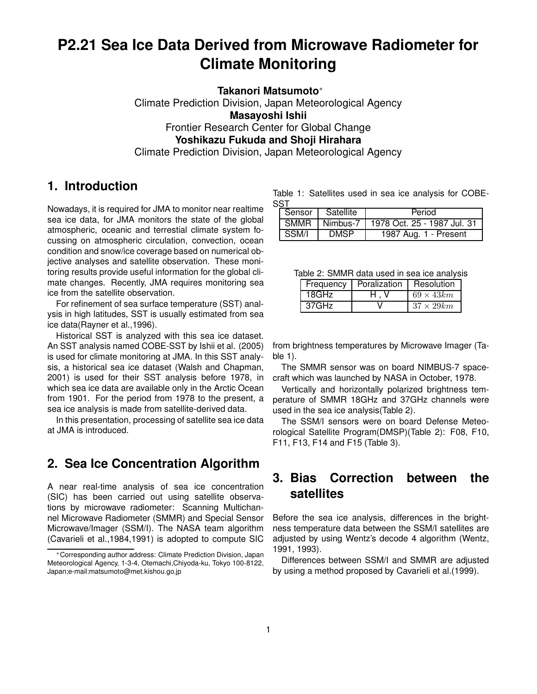# **P2.21 Sea Ice Data Derived from Microwave Radiometer for Climate Monitoring**

**Takanori Matsumoto**<sup>∗</sup>

Climate Prediction Division, Japan Meteorological Agency **Masayoshi Ishii** Frontier Research Center for Global Change **Yoshikazu Fukuda and Shoji Hirahara** Climate Prediction Division, Japan Meteorological Agency

## **1. Introduction**

Nowadays, it is required for JMA to monitor near realtime sea ice data, for JMA monitors the state of the global atmospheric, oceanic and terrestial climate system focussing on atmospheric circulation, convection, ocean condition and snow/ice coverage based on numerical objective analyses and satellite observation. These monitoring results provide useful information for the global climate changes. Recently, JMA requires monitoring sea ice from the satellite observation.

For refinement of sea surface temperature (SST) analysis in high latitudes, SST is usually estimated from sea ice data(Rayner et al.,1996).

Historical SST is analyzed with this sea ice dataset. An SST analysis named COBE-SST by Ishii et al. (2005) is used for climate monitoring at JMA. In this SST analysis, a historical sea ice dataset (Walsh and Chapman, 2001) is used for their SST analysis before 1978, in which sea ice data are available only in the Arctic Ocean from 1901. For the period from 1978 to the present, a sea ice analysis is made from satellite-derived data.

In this presentation, processing of satellite sea ice data at JMA is introduced.

## **2. Sea Ice Concentration Algorithm**

A near real-time analysis of sea ice concentration (SIC) has been carried out using satellite observations by microwave radiometer: Scanning Multichannel Microwave Radiometer (SMMR) and Special Sensor Microwave/Imager (SSM/I). The NASA team algorithm (Cavarieli et al.,1984,1991) is adopted to compute SIC

Table 1: Satellites used in sea ice analysis for COBE-SST

| Sensor | Satellite   | Period                      |
|--------|-------------|-----------------------------|
| SMMR   | Nimbus-7    | 1978 Oct. 25 - 1987 Jul. 31 |
| SSM/I  | <b>DMSP</b> | 1987 Aug. 1 - Present       |

| Table 2: SMMR data used in sea ice analysis |  |
|---------------------------------------------|--|
|---------------------------------------------|--|

| Frequency | Poralization | Resolution        |
|-----------|--------------|-------------------|
| 18GHz     |              | $69 \times 43km$  |
| 37GHz     |              | $37 \times 29 km$ |

from brightness temperatures by Microwave Imager (Table 1).

The SMMR sensor was on board NIMBUS-7 spacecraft which was launched by NASA in October, 1978.

Vertically and horizontally polarized brightness temperature of SMMR 18GHz and 37GHz channels were used in the sea ice analysis(Table 2).

The SSM/I sensors were on board Defense Meteorological Satellite Program(DMSP)(Table 2): F08, F10, F11, F13, F14 and F15 (Table 3).

## **3. Bias Correction between the satellites**

Before the sea ice analysis, differences in the brightness temperature data between the SSM/I satellites are adjusted by using Wentz's decode 4 algorithm (Wentz, 1991, 1993).

Differences between SSM/I and SMMR are adjusted by using a method proposed by Cavarieli et al.(1999).

<sup>∗</sup>Corresponding author address: Climate Prediction Division, Japan Meteorological Agency, 1-3-4, Otemachi,Chiyoda-ku, Tokyo 100-8122, Japan;e-mail:matsumoto@met.kishou.go.jp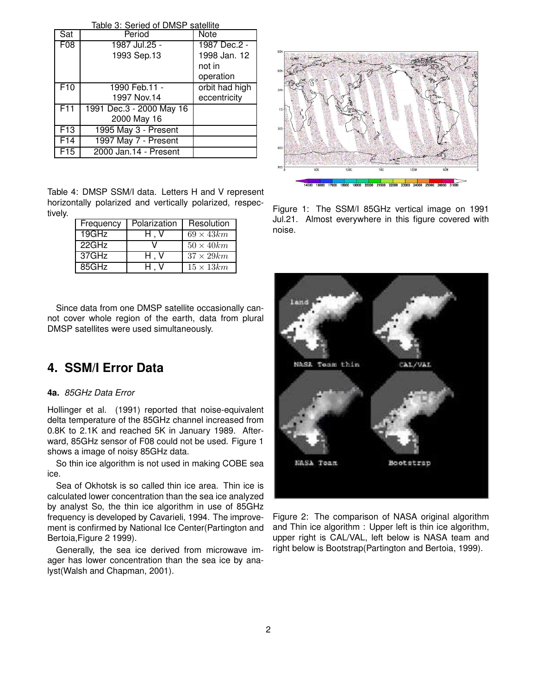| Table 3: Seried of DMSP satellite |                          |                |  |  |
|-----------------------------------|--------------------------|----------------|--|--|
| Sat                               | Period                   | Note           |  |  |
| F08                               | 1987 Jul.25 -            | 1987 Dec.2 -   |  |  |
|                                   | 1993 Sep.13              | 1998 Jan. 12   |  |  |
|                                   |                          | not in         |  |  |
|                                   |                          | operation      |  |  |
| F10                               | 1990 Feb.11 -            | orbit had high |  |  |
|                                   | 1997 Nov.14              | eccentricity   |  |  |
| F <sub>11</sub>                   | 1991 Dec.3 - 2000 May 16 |                |  |  |
|                                   | 2000 May 16              |                |  |  |
| F13                               | 1995 May 3 - Present     |                |  |  |
| F14                               | 1997 May 7 - Present     |                |  |  |
| F15                               | 2000 Jan.14 - Present    |                |  |  |

Table 4: DMSP SSM/I data. Letters H and V represent horizontally polarized and vertically polarized, respectively.

| Frequency | Polarization | Resolution        |
|-----------|--------------|-------------------|
| 19GHz     | H.V          | $69 \times 43 km$ |
| 22GHz     |              | $50 \times 40 km$ |
| 37GHz     | H.V          | $37 \times 29 km$ |
| 85GHz     | H.V          | $15 \times 13 km$ |

Since data from one DMSP satellite occasionally cannot cover whole region of the earth, data from plural DMSP satellites were used simultaneously.

## **4. SSM/I Error Data**

#### **4a.** 85GHz Data Error

Hollinger et al. (1991) reported that noise-equivalent delta temperature of the 85GHz channel increased from 0.8K to 2.1K and reached 5K in January 1989. Afterward, 85GHz sensor of F08 could not be used. Figure 1 shows a image of noisy 85GHz data.

So thin ice algorithm is not used in making COBE sea ice.

Sea of Okhotsk is so called thin ice area. Thin ice is calculated lower concentration than the sea ice analyzed by analyst So, the thin ice algorithm in use of 85GHz frequency is developed by Cavarieli, 1994. The improvement is confirmed by National Ice Center(Partington and Bertoia,Figure 2 1999).

Generally, the sea ice derived from microwave imager has lower concentration than the sea ice by analyst(Walsh and Chapman, 2001).



Figure 1: The SSM/I 85GHz vertical image on 1991 Jul.21. Almost everywhere in this figure covered with noise.



Figure 2: The comparison of NASA original algorithm and Thin ice algorithm : Upper left is thin ice algorithm, upper right is CAL/VAL, left below is NASA team and right below is Bootstrap(Partington and Bertoia, 1999).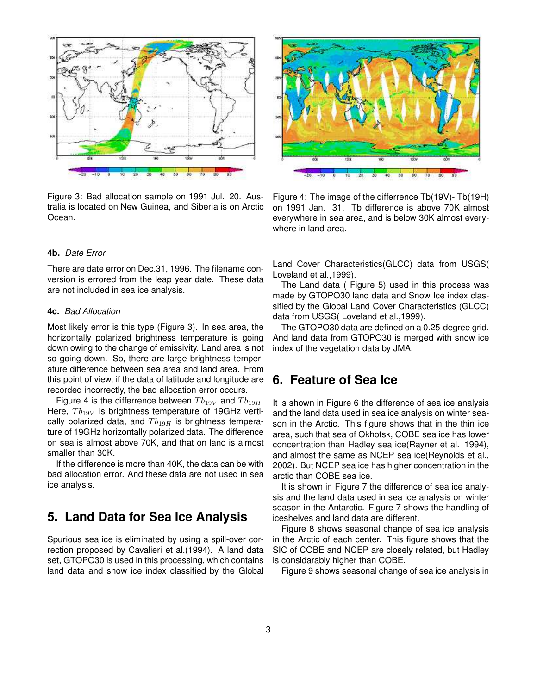

Figure 3: Bad allocation sample on 1991 Jul. 20. Australia is located on New Guinea, and Siberia is on Arctic Ocean.

Figure 4: The image of the differrence Tb(19V)- Tb(19H) on 1991 Jan. 31. Tb difference is above 70K almost everywhere in sea area, and is below 30K almost everywhere in land area.

### **4b.** Date Error

There are date error on Dec.31, 1996. The filename conversion is errored from the leap year date. These data are not included in sea ice analysis.

#### **4c.** Bad Allocation

Most likely error is this type (Figure 3). In sea area, the horizontally polarized brightness temperature is going down owing to the change of emissivity. Land area is not so going down. So, there are large brightness temperature difference between sea area and land area. From this point of view, if the data of latitude and longitude are recorded incorrectly, the bad allocation error occurs.

Figure 4 is the differrence between  $Tb_{19V}$  and  $Tb_{19H}$ . Here,  $Tb_{19V}$  is brightness temperature of 19GHz vertically polarized data, and  $Tb_{19H}$  is brightness temperature of 19GHz horizontally polarized data. The difference on sea is almost above 70K, and that on land is almost smaller than 30K.

If the difference is more than 40K, the data can be with bad allocation error. And these data are not used in sea ice analysis.

## **5. Land Data for Sea Ice Analysis**

Spurious sea ice is eliminated by using a spill-over correction proposed by Cavalieri et al.(1994). A land data set, GTOPO30 is used in this processing, which contains land data and snow ice index classified by the Global Land Cover Characteristics(GLCC) data from USGS( Loveland et al.,1999).

The Land data ( Figure 5) used in this process was made by GTOPO30 land data and Snow Ice index classified by the Global Land Cover Characteristics (GLCC) data from USGS( Loveland et al.,1999).

The GTOPO30 data are defined on a 0.25-degree grid. And land data from GTOPO30 is merged with snow ice index of the vegetation data by JMA.

## **6. Feature of Sea Ice**

It is shown in Figure 6 the difference of sea ice analysis and the land data used in sea ice analysis on winter season in the Arctic. This figure shows that in the thin ice area, such that sea of Okhotsk, COBE sea ice has lower concentration than Hadley sea ice(Rayner et al. 1994), and almost the same as NCEP sea ice(Reynolds et al., 2002). But NCEP sea ice has higher concentration in the arctic than COBE sea ice.

It is shown in Figure 7 the difference of sea ice analysis and the land data used in sea ice analysis on winter season in the Antarctic. Figure 7 shows the handling of iceshelves and land data are different.

Figure 8 shows seasonal change of sea ice analysis in the Arctic of each center. This figure shows that the SIC of COBE and NCEP are closely related, but Hadley is considarably higher than COBE.

Figure 9 shows seasonal change of sea ice analysis in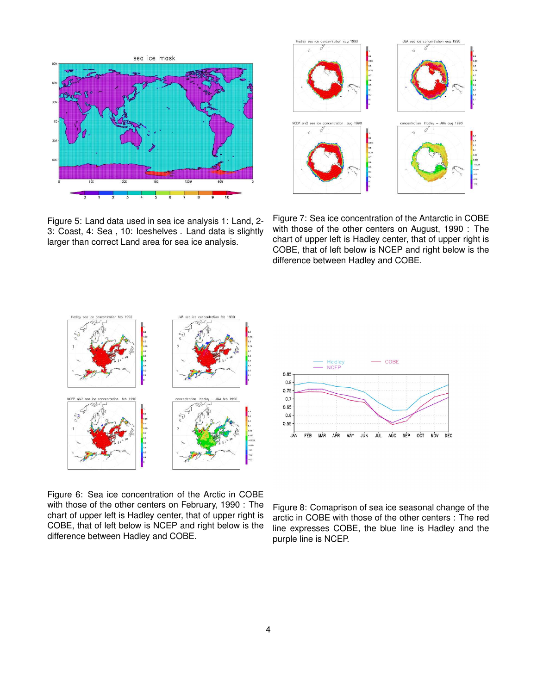

Figure 5: Land data used in sea ice analysis 1: Land, 2- 3: Coast, 4: Sea , 10: Iceshelves . Land data is slightly larger than correct Land area for sea ice analysis.



Figure 7: Sea ice concentration of the Antarctic in COBE with those of the other centers on August, 1990 : The chart of upper left is Hadley center, that of upper right is COBE, that of left below is NCEP and right below is the difference between Hadley and COBE.





Figure 6: Sea ice concentration of the Arctic in COBE with those of the other centers on February, 1990 : The chart of upper left is Hadley center, that of upper right is COBE, that of left below is NCEP and right below is the difference between Hadley and COBE.

Figure 8: Comaprison of sea ice seasonal change of the arctic in COBE with those of the other centers : The red line expresses COBE, the blue line is Hadley and the purple line is NCEP.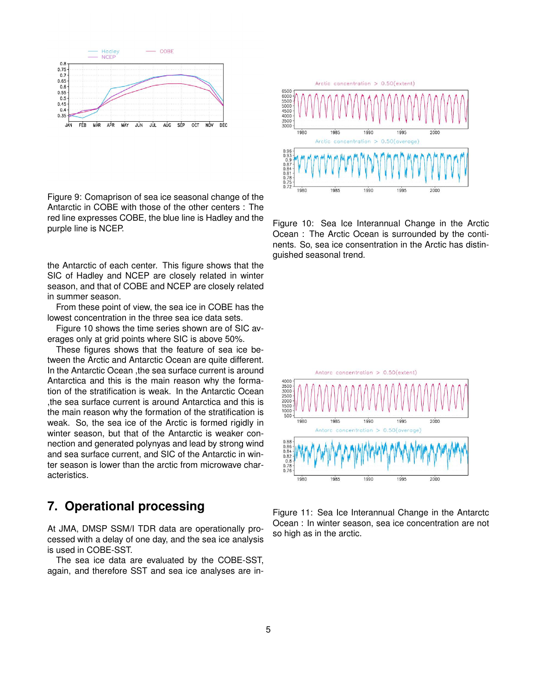

Figure 9: Comaprison of sea ice seasonal change of the Antarctic in COBE with those of the other centers : The red line expresses COBE, the blue line is Hadley and the purple line is NCEP.

the Antarctic of each center. This figure shows that the SIC of Hadley and NCEP are closely related in winter season, and that of COBE and NCEP are closely related in summer season.

From these point of view, the sea ice in COBE has the lowest concentration in the three sea ice data sets.

Figure 10 shows the time series shown are of SIC averages only at grid points where SIC is above 50%.

These figures shows that the feature of sea ice between the Arctic and Antarctic Ocean are quite different. In the Antarctic Ocean ,the sea surface current is around Antarctica and this is the main reason why the formation of the stratification is weak. In the Antarctic Ocean ,the sea surface current is around Antarctica and this is the main reason why the formation of the stratification is weak. So, the sea ice of the Arctic is formed rigidly in winter season, but that of the Antarctic is weaker connection and generated polynyas and lead by strong wind and sea surface current, and SIC of the Antarctic in winter season is lower than the arctic from microwave characteristics.

## **7. Operational processing**

At JMA, DMSP SSM/I TDR data are operationally processed with a delay of one day, and the sea ice analysis is used in COBE-SST.

The sea ice data are evaluated by the COBE-SST, again, and therefore SST and sea ice analyses are in-



Figure 10: Sea Ice Interannual Change in the Arctic Ocean : The Arctic Ocean is surrounded by the continents. So, sea ice consentration in the Arctic has distinguished seasonal trend.



Figure 11: Sea Ice Interannual Change in the Antarctc Ocean : In winter season, sea ice concentration are not so high as in the arctic.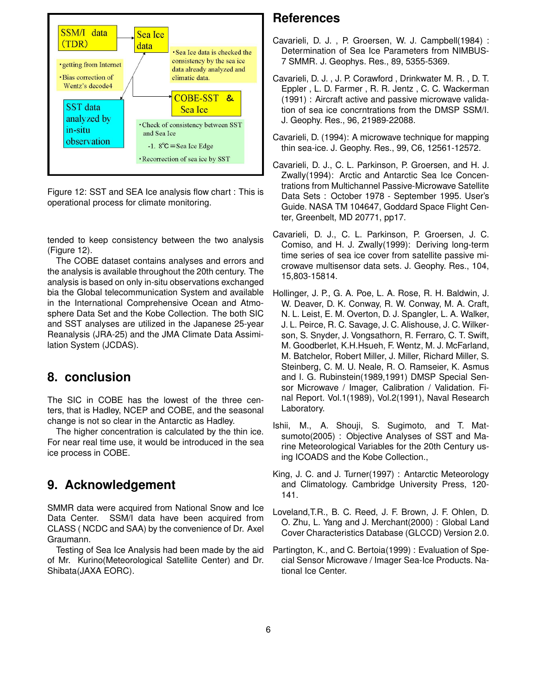

Figure 12: SST and SEA Ice analysis flow chart : This is operational process for climate monitoring.

tended to keep consistency between the two analysis (Figure 12).

The COBE dataset contains analyses and errors and the analysis is available throughout the 20th century. The analysis is based on only in-situ observations exchanged bia the Global telecommunication System and available in the International Comprehensive Ocean and Atmosphere Data Set and the Kobe Collection. The both SIC and SST analyses are utilized in the Japanese 25-year Reanalysis (JRA-25) and the JMA Climate Data Assimilation System (JCDAS).

## **8. conclusion**

The SIC in COBE has the lowest of the three centers, that is Hadley, NCEP and COBE, and the seasonal change is not so clear in the Antarctic as Hadley.

The higher concentration is calculated by the thin ice. For near real time use, it would be introduced in the sea ice process in COBE.

## **9. Acknowledgement**

SMMR data were acquired from National Snow and Ice Data Center. SSM/I data have been acquired from CLASS ( NCDC and SAA) by the convenience of Dr. Axel Graumann.

Testing of Sea Ice Analysis had been made by the aid of Mr. Kurino(Meteorological Satellite Center) and Dr. Shibata(JAXA EORC).

## **References**

- Cavarieli, D. J. , P. Groersen, W. J. Campbell(1984) : Determination of Sea Ice Parameters from NIMBUS-7 SMMR. J. Geophys. Res., 89, 5355-5369.
- Cavarieli, D. J. , J. P. Corawford , Drinkwater M. R. , D. T. Eppler , L. D. Farmer , R. R. Jentz , C. C. Wackerman (1991) : Aircraft active and passive microwave validation of sea ice concrntrations from the DMSP SSM/I. J. Geophy. Res., 96, 21989-22088.
- Cavarieli, D. (1994): A microwave technique for mapping thin sea-ice. J. Geophy. Res., 99, C6, 12561-12572.
- Cavarieli, D. J., C. L. Parkinson, P. Groersen, and H. J. Zwally(1994): Arctic and Antarctic Sea Ice Concentrations from Multichannel Passive-Microwave Satellite Data Sets : October 1978 - September 1995. User's Guide. NASA TM 104647, Goddard Space Flight Center, Greenbelt, MD 20771, pp17.
- Cavarieli, D. J., C. L. Parkinson, P. Groersen, J. C. Comiso, and H. J. Zwally(1999): Deriving long-term time series of sea ice cover from satellite passive microwave multisensor data sets. J. Geophy. Res., 104, 15,803-15814.
- Hollinger, J. P., G. A. Poe, L. A. Rose, R. H. Baldwin, J. W. Deaver, D. K. Conway, R. W. Conway, M. A. Craft, N. L. Leist, E. M. Overton, D. J. Spangler, L. A. Walker, J. L. Peirce, R. C. Savage, J. C. Alishouse, J. C. Wilkerson, S. Snyder, J. Vongsathorn, R. Ferraro, C. T. Swift, M. Goodberlet, K.H.Hsueh, F. Wentz, M. J. McFarland, M. Batchelor, Robert Miller, J. Miller, Richard Miller, S. Steinberg, C. M. U. Neale, R. O. Ramseier, K. Asmus and I. G. Rubinstein(1989,1991) DMSP Special Sensor Microwave / Imager, Calibration / Validation. Final Report. Vol.1(1989), Vol.2(1991), Naval Research Laboratory.
- Ishii, M., A. Shouji, S. Sugimoto, and T. Matsumoto(2005) : Objective Analyses of SST and Marine Meteorological Variables for the 20th Century using ICOADS and the Kobe Collection.,
- King, J. C. and J. Turner(1997) : Antarctic Meteorology and Climatology. Cambridge University Press, 120- 141.
- Loveland,T.R., B. C. Reed, J. F. Brown, J. F. Ohlen, D. O. Zhu, L. Yang and J. Merchant(2000) : Global Land Cover Characteristics Database (GLCCD) Version 2.0.
- Partington, K., and C. Bertoia(1999) : Evaluation of Special Sensor Microwave / Imager Sea-Ice Products. National Ice Center.